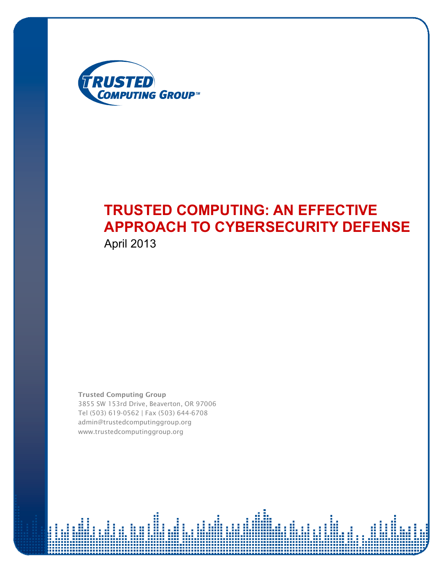

# **TRUSTED COMPUTING: AN EFFECTIVE APPROACH TO CYBERSECURITY DEFENSE**

April 2013

**Trusted Computing Group**  *3855 SW 153rd Drive, Beaverton, OR 97006 Tel (503) 6190562 | Fax (503) 6446708 admin@trustedcomputinggroup.org www.trustedcomputinggroup.org*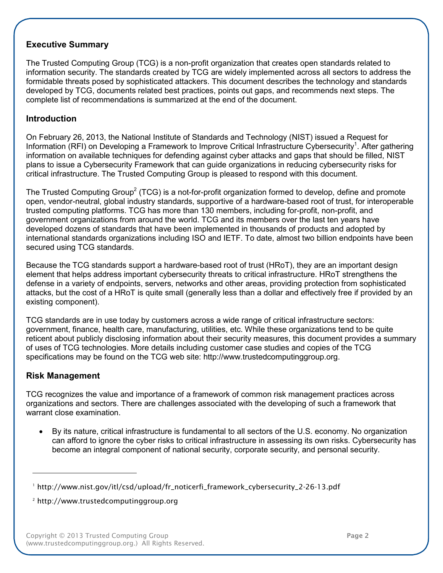# **Executive Summary**

The Trusted Computing Group (TCG) is a non-profit organization that creates open standards related to information security. The standards created by TCG are widely implemented across all sectors to address the formidable threats posed by sophisticated attackers. This document describes the technology and standards developed by TCG, documents related best practices, points out gaps, and recommends next steps. The complete list of recommendations is summarized at the end of the document.

# **Introduction**

 On February 26, 2013, the National Institute of Standards and Technology (NIST) issued a Request for Information (RFI) on Developing a Framework to Improve Critical Infrastructure Cybersecurity<sup>1</sup>. After gathering information on available techniques for defending against cyber attacks and gaps that should be filled, NIST plans to issue a Cybersecurity Framework that can guide organizations in reducing cybersecurity risks for critical infrastructure. The Trusted Computing Group is pleased to respond with this document.

The Trusted Computing Group<sup>2</sup> (TCG) is a not-for-profit organization formed to develop, define and promote open, vendor-neutral, global industry standards, supportive of a hardware-based root of trust, for interoperable trusted computing platforms. TCG has more than 130 members, including for-profit, non-profit, and government organizations from around the world. TCG and its members over the last ten years have developed dozens of standards that have been implemented in thousands of products and adopted by international standards organizations including ISO and IETF. To date, almost two billion endpoints have been secured using TCG standards.

Because the TCG standards support a hardware-based root of trust (HRoT), they are an important design element that helps address important cybersecurity threats to critical infrastructure. HRoT strengthens the defense in a variety of endpoints, servers, networks and other areas, providing protection from sophisticated attacks, but the cost of a HRoT is quite small (generally less than a dollar and effectively free if provided by an existing component).

 TCG standards are in use today by customers across a wide range of critical infrastructure sectors: government, finance, health care, manufacturing, utilities, etc. While these organizations tend to be quite reticent about publicly disclosing information about their security measures, this document provides a summary of uses of TCG technologies. More details including customer case studies and copies of the TCG specifications may be found on the TCG web site: http://www.trustedcomputinggroup.org.

# **Risk Management**

 TCG recognizes the value and importance of a framework of common risk management practices across organizations and sectors. There are challenges associated with the developing of such a framework that warrant close examination.

• By its nature, critical infrastructure is fundamental to all sectors of the U.S. economy. No organization can afford to ignore the cyber risks to critical infrastructure in assessing its own risks. Cybersecurity has become an integral component of national security, corporate security, and personal security.

 $\overline{\phantom{a}}$  ,  $\overline{\phantom{a}}$  ,  $\overline{\phantom{a}}$  ,  $\overline{\phantom{a}}$  ,  $\overline{\phantom{a}}$  ,  $\overline{\phantom{a}}$  ,  $\overline{\phantom{a}}$  ,  $\overline{\phantom{a}}$  ,  $\overline{\phantom{a}}$  ,  $\overline{\phantom{a}}$  ,  $\overline{\phantom{a}}$  ,  $\overline{\phantom{a}}$  ,  $\overline{\phantom{a}}$  ,  $\overline{\phantom{a}}$  ,  $\overline{\phantom{a}}$  ,  $\overline{\phantom{a}}$ 

*<sup>1</sup> http://www.nist.gov/itl/csd/upload/fr\_noticerfi\_framework\_cybersecurity\_22613.pdf*

*<sup>2</sup> http://www.trustedcomputinggroup.org*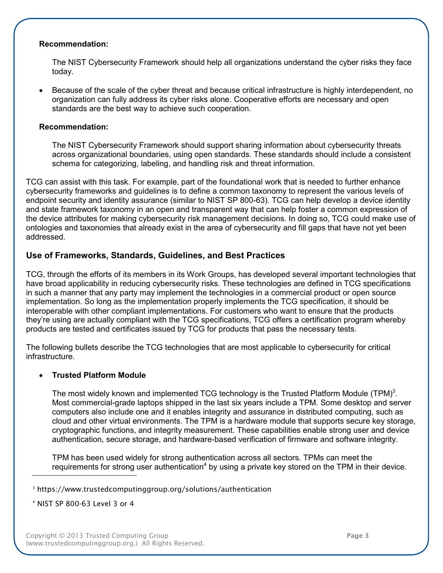## **Recommendation:**

 The NIST Cybersecurity Framework should help all organizations understand the cyber risks they face today.

• Because of the scale of the cyber threat and because critical infrastructure is highly interdependent, no organization can fully address its cyber risks alone. Cooperative efforts are necessary and open standards are the best way to achieve such cooperation.

## **Recommendation:**

 The NIST Cybersecurity Framework should support sharing information about cybersecurity threats across organizational boundaries, using open standards. These standards should include a consistent schema for categorizing, labeling, and handling risk and threat information.

 TCG can assist with this task. For example, part of the foundational work that is needed to further enhance cybersecurity frameworks and guidelines is to define a common taxonomy to represent the various levels of endpoint security and identity assurance (similar to NIST SP 800-63). TCG can help develop a device identity and state framework taxonomy in an open and transparent way that can help foster a common expression of the device attributes for making cybersecurity risk management decisions. In doing so, TCG could make use of ontologies and taxonomies that already exist in the area of cybersecurity and fill gaps that have not yet been addressed.

# **Use of Frameworks, Standards, Guidelines, and Best Practices**

 TCG, through the efforts of its members in its Work Groups, has developed several important technologies that have broad applicability in reducing cybersecurity risks. These technologies are defined in TCG specifications in such a manner that any party may implement the technologies in a commercial product or open source implementation. So long as the implementation properly implements the TCG specification, it should be interoperable with other compliant implementations. For customers who want to ensure that the products they're using are actually compliant with the TCG specifications, TCG offers a certification program whereby products are tested and certificates issued by TCG for products that pass the necessary tests.

 The following bullets describe the TCG technologies that are most applicable to cybersecurity for critical infrastructure.

# • **Trusted Platform Module**

The most widely known and implemented TCG technology is the Trusted Platform Module (TPM)<sup>3</sup>. Most commercial-grade laptops shipped in the last six years include a TPM. Some desktop and server computers also include one and it enables integrity and assurance in distributed computing, such as cloud and other virtual environments. The TPM is a hardware module that supports secure key storage, cryptographic functions, and integrity measurement. These capabilities enable strong user and device authentication, secure storage, and hardware-based verification of firmware and software integrity.

 TPM has been used widely for strong authentication across all sectors. TPMs can meet the requirements for strong user authentication<sup>4</sup> by using a private key stored on the TPM in their device.

 *<sup>4</sup> NIST SP 80063 Level 3 or 4*

 $\overline{\phantom{a}}$  ,  $\overline{\phantom{a}}$  ,  $\overline{\phantom{a}}$  ,  $\overline{\phantom{a}}$  ,  $\overline{\phantom{a}}$  ,  $\overline{\phantom{a}}$  ,  $\overline{\phantom{a}}$  ,  $\overline{\phantom{a}}$  ,  $\overline{\phantom{a}}$  ,  $\overline{\phantom{a}}$  ,  $\overline{\phantom{a}}$  ,  $\overline{\phantom{a}}$  ,  $\overline{\phantom{a}}$  ,  $\overline{\phantom{a}}$  ,  $\overline{\phantom{a}}$  ,  $\overline{\phantom{a}}$ 

*<sup>3</sup> https://www.trustedcomputinggroup.org/solutions/authentication*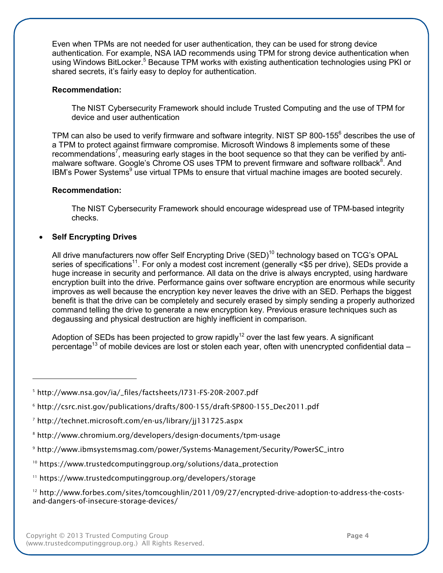Even when TPMs are not needed for user authentication, they can be used for strong device authentication. For example, NSA IAD recommends using TPM for strong device authentication when using Windows BitLocker.<sup>5</sup> Because TPM works with existing authentication technologies using PKI or shared secrets, it's fairly easy to deploy for authentication.

## **Recommendation:**

 The NIST Cybersecurity Framework should include Trusted Computing and the use of TPM for device and user authentication

TPM can also be used to verify firmware and software integrity. NIST SP 800-155 $^6$  describes the use of a TPM to protect against firmware compromise. Microsoft Windows 8 implements some of these recommendations<sup>7</sup>, measuring early stages in the boot sequence so that they can be verified by antimalware software. Google's Chrome OS uses TPM to prevent firmware and software rollback<sup>8</sup>. And IBM's Power Systems<sup>9</sup> use virtual TPMs to ensure that virtual machine images are booted securely.

## **Recommendation:**

The NIST Cybersecurity Framework should encourage widespread use of TPM-based integrity checks.

# • **Self Encrypting Drives**

All drive manufacturers now offer Self Encrypting Drive (SED)<sup>10</sup> technology based on TCG's OPAL series of specifications<sup>11</sup>. For only a modest cost increment (generally <\$5 per drive), SEDs provide a huge increase in security and performance. All data on the drive is always encrypted, using hardware encryption built into the drive. Performance gains over software encryption are enormous while security improves as well because the encryption key never leaves the drive with an SED. Perhaps the biggest benefit is that the drive can be completely and securely erased by simply sending a properly authorized command telling the drive to generate a new encryption key. Previous erasure techniques such as degaussing and physical destruction are highly inefficient in comparison.

Adoption of SEDs has been projected to grow rapidly<sup>12</sup> over the last few years. A significant percentage<sup>13</sup> of mobile devices are lost or stolen each year, often with unencrypted confidential data -

<sup>6</sup> http://csrc.nist.gov/publications/drafts/800-155/draft-SP800-155\_Dec2011.pdf

- <sup>8</sup> http://www.chromium.org/developers/design-documents/tpm-usage
- <sup>9</sup> http://www.ibmsystemsmag.com/power/Systems-Management/Security/PowerSC\_intro
- *<sup>10</sup> https://www.trustedcomputinggroup.org/solutions/data\_protection*
- *<sup>11</sup> https://www.trustedcomputinggroup.org/developers/storage*

<sup>&</sup>lt;sup>5</sup> http://www.nsa.gov/ia/\_files/factsheets/I731-FS-20R-2007.pdf

<sup>&</sup>lt;sup>7</sup> http://technet.microsoft.com/en-us/library/jj131725.aspx

<sup>&</sup>lt;sup>12</sup> http://www.forbes.com/sites/tomcoughlin/2011/09/27/encrypted-drive-adoption-to-address-the-costsand-dangers-of-insecure-storage-devices/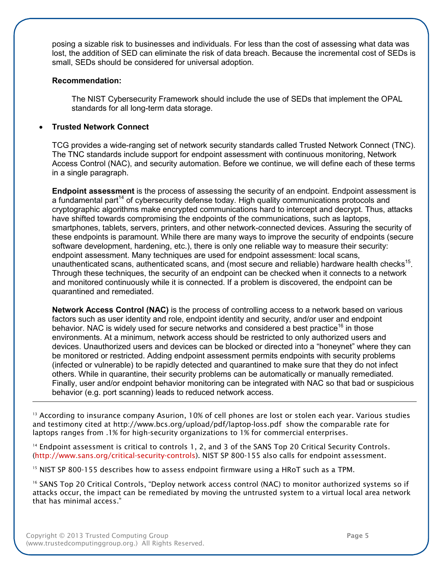posing a sizable risk to businesses and individuals. For less than the cost of assessing what data was lost, the addition of SED can eliminate the risk of data breach. Because the incremental cost of SEDs is small, SEDs should be considered for universal adoption.

### **Recommendation:**

 The NIST Cybersecurity Framework should include the use of SEDs that implement the OPAL standards for all long-term data storage.

# • **Trusted Network Connect**

TCG provides a wide-ranging set of network security standards called Trusted Network Connect (TNC). The TNC standards include support for endpoint assessment with continuous monitoring, Network Access Control (NAC), and security automation. Before we continue, we will define each of these terms in a single paragraph.

 **Endpoint assessment** is the process of assessing the security of an endpoint. Endpoint assessment is a fundamental part<sup>14</sup> of cybersecurity defense today. High quality communications protocols and cryptographic algorithms make encrypted communications hard to intercept and decrypt. Thus, attacks have shifted towards compromising the endpoints of the communications, such as laptops, smartphones, tablets, servers, printers, and other network-connected devices. Assuring the security of these endpoints is paramount. While there are many ways to improve the security of endpoints (secure software development, hardening, etc.), there is only one reliable way to measure their security: endpoint assessment. Many techniques are used for endpoint assessment: local scans, unauthenticated scans, authenticated scans, and (most secure and reliable) hardware health checks<sup>15</sup>. Through these techniques, the security of an endpoint can be checked when it connects to a network and monitored continuously while it is connected. If a problem is discovered, the endpoint can be quarantined and remediated.

 **Network Access Control (NAC)** is the process of controlling access to a network based on various factors such as user identity and role, endpoint identity and security, and/or user and endpoint behavior. NAC is widely used for secure networks and considered a best practice<sup>16</sup> in those environments. At a minimum, network access should be restricted to only authorized users and devices. Unauthorized users and devices can be blocked or directed into a "honeynet" where they can be monitored or restricted. Adding endpoint assessment permits endpoints with security problems (infected or vulnerable) to be rapidly detected and quarantined to make sure that they do not infect others. While in quarantine, their security problems can be automatically or manually remediated. Finally, user and/or endpoint behavior monitoring can be integrated with NAC so that bad or suspicious behavior (e.g. port scanning) leads to reduced network access.

 $^{\rm_{13}}$  According to insurance company Asurion, 10% of cell phones are lost or stolen each year. Various studies  *and testimony cited at http://www.bcs.org/upload/pdf/laptoploss.pdf show the comparable rate for laptops ranges from .1% for highsecurity organizations to 1% for commercial enterprises.*

 $\mathcal{L}=\mathcal{L}^{\mathcal{L}}$  , we can expect that  $\mathcal{L}^{\mathcal{L}}$ 

 $^{14}$  Endpoint assessment is critical to controls 1, 2, and 3 of the SANS Top 20 Critical Security Controls.  *(http://www.sans.org/criticalsecuritycontrols). NIST SP 800155 also calls for endpoint assessment.*

 $^{15}$  NIST SP 800-155 describes how to assess endpoint firmware using a HRoT such as a TPM.

 $16$  SANS Top 20 Critical Controls, "Deploy network access control (NAC) to monitor authorized systems so if attacks occur, the impact can be remediated by moving the untrusted system to a virtual local area network  *that has minimal access."*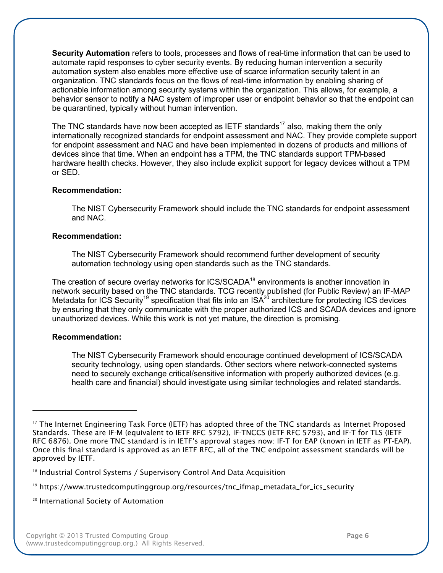**Security Automation** refers to tools, processes and flows of real-time information that can be used to automate rapid responses to cyber security events. By reducing human intervention a security automation system also enables more effective use of scarce information security talent in an organization. TNC standards focus on the flows of real-time information by enabling sharing of actionable information among security systems within the organization. This allows, for example, a behavior sensor to notify a NAC system of improper user or endpoint behavior so that the endpoint can be quarantined, typically without human intervention.

The TNC standards have now been accepted as IETF standards<sup>17</sup> also, making them the only internationally recognized standards for endpoint assessment and NAC. They provide complete support for endpoint assessment and NAC and have been implemented in dozens of products and millions of devices since that time. When an endpoint has a TPM, the TNC standards support TPM-based hardware health checks. However, they also include explicit support for legacy devices without a TPM or SED.

## **Recommendation:**

 The NIST Cybersecurity Framework should include the TNC standards for endpoint assessment and NAC.

## **Recommendation:**

 The NIST Cybersecurity Framework should recommend further development of security automation technology using open standards such as the TNC standards.

The creation of secure overlay networks for ICS/SCADA<sup>18</sup> environments is another innovation in network security based on the TNC standards. TCG recently published (for Public Review) an IF-MAP Metadata for ICS Security<sup>19</sup> specification that fits into an ISA<sup>20</sup> architecture for protecting ICS devices by ensuring that they only communicate with the proper authorized ICS and SCADA devices and ignore unauthorized devices. While this work is not yet mature, the direction is promising.

### **Recommendation:**

 $\overline{\phantom{a}}$  ,  $\overline{\phantom{a}}$  ,  $\overline{\phantom{a}}$  ,  $\overline{\phantom{a}}$  ,  $\overline{\phantom{a}}$  ,  $\overline{\phantom{a}}$  ,  $\overline{\phantom{a}}$  ,  $\overline{\phantom{a}}$  ,  $\overline{\phantom{a}}$  ,  $\overline{\phantom{a}}$  ,  $\overline{\phantom{a}}$  ,  $\overline{\phantom{a}}$  ,  $\overline{\phantom{a}}$  ,  $\overline{\phantom{a}}$  ,  $\overline{\phantom{a}}$  ,  $\overline{\phantom{a}}$ 

 The NIST Cybersecurity Framework should encourage continued development of ICS/SCADA security technology, using open standards. Other sectors where network-connected systems need to securely exchange critical/sensitive information with properly authorized devices (e.g. health care and financial) should investigate using similar technologies and related standards.

 *<sup>20</sup> International Society of Automation*

 $^{\scriptscriptstyle 17}$  The Internet Engineering Task Force (IETF) has adopted three of the TNC standards as Internet Proposed Standards. These are IF-M (equivalent to IETF RFC 5792), IF-TNCCS (IETF RFC 5793), and IF-T for TLS (IETF RFC 6876). One more TNC standard is in IETF's approval stages now: IF-T for EAP (known in IETF as PT-EAP). Once this final standard is approved as an IETF RFC, all of the TNC endpoint assessment standards will be  *approved by IETF.*

 *<sup>18</sup> Industrial Control Systems / Supervisory Control And Data Acquisition*

*<sup>19</sup> https://www.trustedcomputinggroup.org/resources/tnc\_ifmap\_metadata\_for\_ics\_security*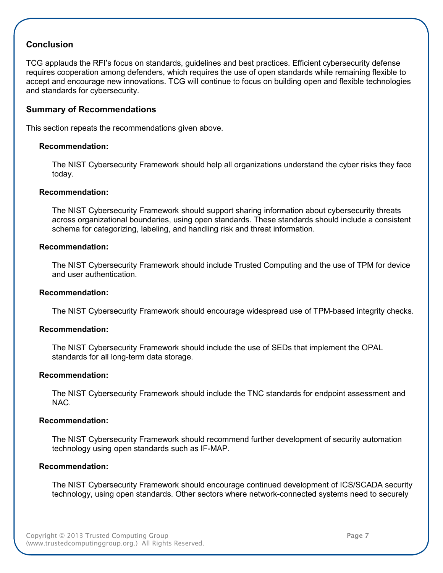# **Conclusion**

 TCG applauds the RFI's focus on standards, guidelines and best practices. Efficient cybersecurity defense requires cooperation among defenders, which requires the use of open standards while remaining flexible to accept and encourage new innovations. TCG will continue to focus on building open and flexible technologies and standards for cybersecurity.

# **Summary of Recommendations**

This section repeats the recommendations given above.

#### **Recommendation:**

 The NIST Cybersecurity Framework should help all organizations understand the cyber risks they face today.

#### **Recommendation:**

 The NIST Cybersecurity Framework should support sharing information about cybersecurity threats across organizational boundaries, using open standards. These standards should include a consistent schema for categorizing, labeling, and handling risk and threat information.

#### **Recommendation:**

 The NIST Cybersecurity Framework should include Trusted Computing and the use of TPM for device and user authentication.

#### **Recommendation:**

The NIST Cybersecurity Framework should encourage widespread use of TPM-based integrity checks.

### **Recommendation:**

 The NIST Cybersecurity Framework should include the use of SEDs that implement the OPAL standards for all long-term data storage.

#### **Recommendation:**

 The NIST Cybersecurity Framework should include the TNC standards for endpoint assessment and NAC.

#### **Recommendation:**

 The NIST Cybersecurity Framework should recommend further development of security automation technology using open standards such as IF-MAP.

#### **Recommendation:**

 The NIST Cybersecurity Framework should encourage continued development of ICS/SCADA security technology, using open standards. Other sectors where network-connected systems need to securely